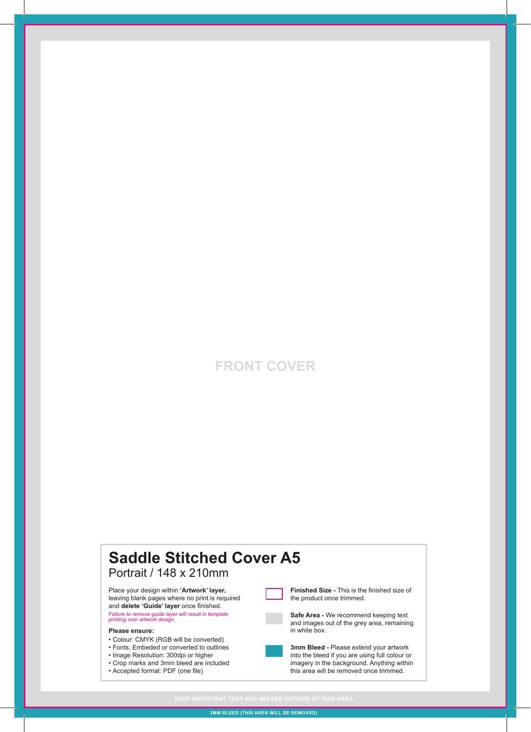### **FRONT COVER**

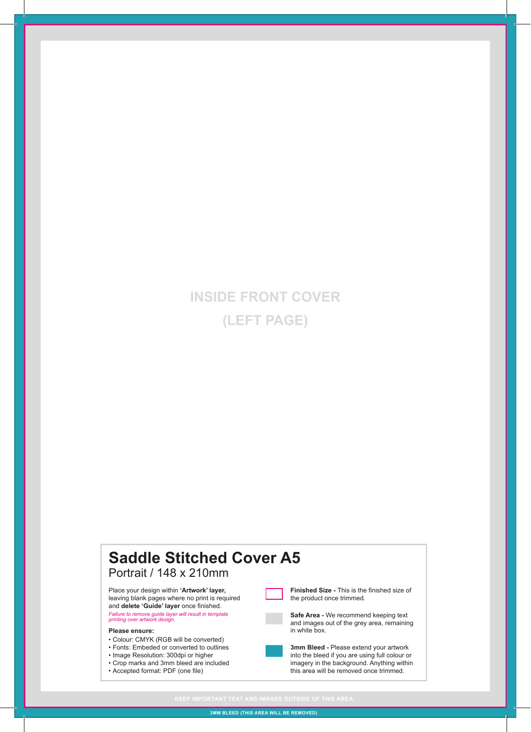# **INSIDE FRONT COVER (LEFT PAGE)**

### **Saddle Stitched Cover A5** Portrait / 148 x 210mm • Colour: CMYK (RGB will be converted) • Fonts: Embeded or converted to outlines • Image Resolution: 300dpi or higher • Crop marks and 3mm bleed are included • Accepted format: PDF (one file) **Please ensure: Finished Size -** This is the finished size of the product once trimmed. **Safe Area -** We recommend keeping text and images out of the grey area, remaining in white box. **3mm Bleed -** Please extend your artwork into the bleed if you are using full colour or imagery in the background. Anything within this area will be removed once trimmed. Place your design within **'Artwork' layer,**  leaving blank pages where no print is required and **delete 'Guide' layer** once finished. *Failure to remove guide layer will result in template printing over artwork design.*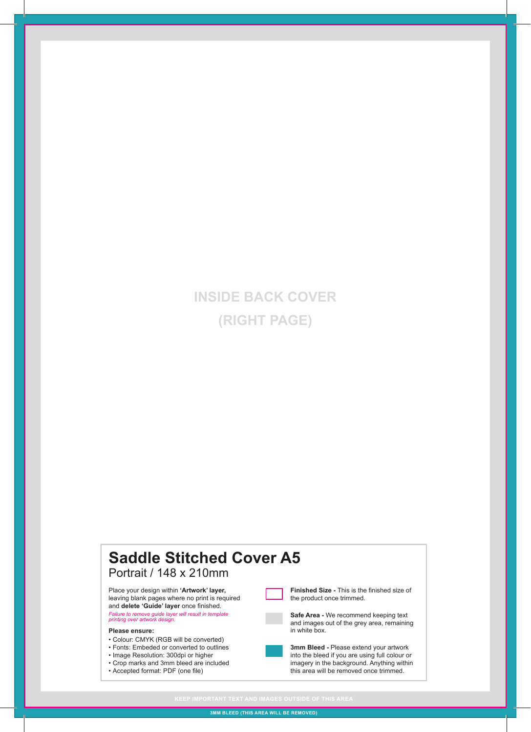# **INSIDE BACK COVER (RIGHT PAGE)**

#### **Saddle Stitched Cover A5** Portrait / 148 x 210mm • Colour: CMYK (RGB will be converted) • Fonts: Embeded or converted to outlines • Image Resolution: 300dpi or higher • Crop marks and 3mm bleed are included • Accepted format: PDF (one file) **Please ensure: Finished Size -** This is the finished size of the product once trimmed. **Safe Area -** We recommend keeping text and images out of the grey area, remaining in white box. **3mm Bleed -** Please extend your artwork into the bleed if you are using full colour or imagery in the background. Anything within this area will be removed once trimmed. Place your design within **'Artwork' layer,**  leaving blank pages where no print is required and **delete 'Guide' layer** once finished. *Failure to remove guide layer will result in template printing over artwork design.*